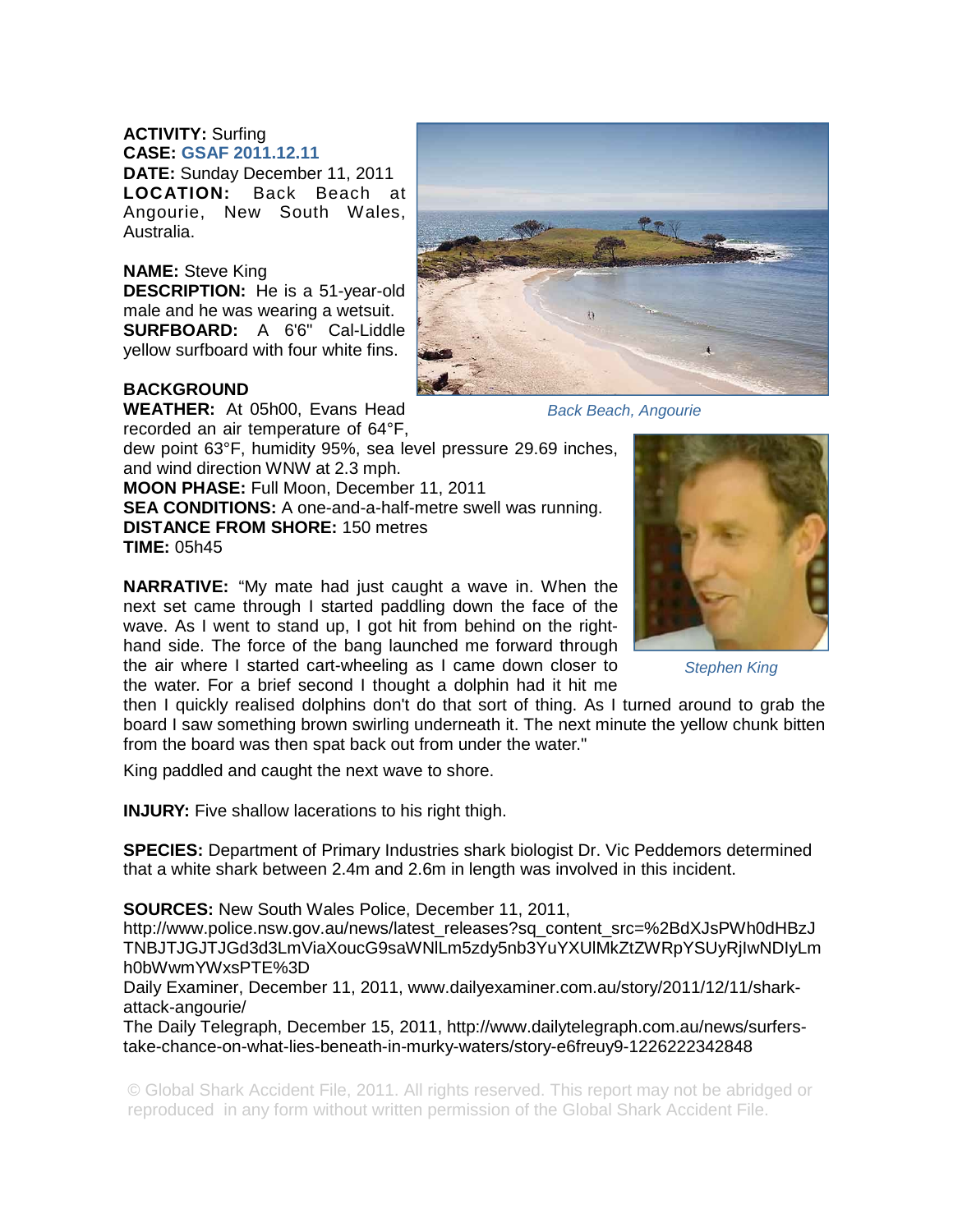## **ACTIVITY:** Surfing **CASE: GSAF 2011.12.11**

**DATE:** Sunday December 11, 2011 **LOCATION:** Back Beach at Angourie, New South Wales, Australia.

## **NAME:** Steve King

**DESCRIPTION:** He is a 51-year-old male and he was wearing a wetsuit. **SURFBOARD:** A 6'6" Cal-Liddle yellow surfboard with four white fins.

## **BACKGROUND**

**WEATHER:** At 05h00, Evans Head recorded an air temperature of 64°F,

dew point 63°F, humidity 95%, sea level pressure 29.69 inches, and wind direction WNW at 2.3 mph.

**MOON PHASE:** Full Moon, December 11, 2011

**SEA CONDITIONS:** A one-and-a-half-metre swell was running. **DISTANCE FROM SHORE:** 150 metres **TIME:** 05h45

**NARRATIVE:** "My mate had just caught a wave in. When the next set came through I started paddling down the face of the wave. As I went to stand up, I got hit from behind on the righthand side. The force of the bang launched me forward through the air where I started cart-wheeling as I came down closer to the water. For a brief second I thought a dolphin had it hit me

then I quickly realised dolphins don't do that sort of thing. As I turned around to grab the board I saw something brown swirling underneath it. The next minute the yellow chunk bitten from the board was then spat back out from under the water."

King paddled and caught the next wave to shore.

**INJURY:** Five shallow lacerations to his right thigh.

**SPECIES:** Department of Primary Industries shark biologist Dr. Vic Peddemors determined that a white shark between 2.4m and 2.6m in length was involved in this incident.

## **SOURCES:** New South Wales Police, December 11, 2011,

http://www.police.nsw.gov.au/news/latest\_releases?sq\_content\_src=%2BdXJsPWh0dHBzJ TNBJTJGJTJGd3d3LmViaXoucG9saWNlLm5zdy5nb3YuYXUlMkZtZWRpYSUyRjIwNDIyLm h0bWwmYWxsPTE%3D

Daily Examiner, December 11, 2011, www.dailyexaminer.com.au/story/2011/12/11/sharkattack-angourie/

The Daily Telegraph, December 15, 2011, http://www.dailytelegraph.com.au/news/surferstake-chance-on-what-lies-beneath-in-murky-waters/story-e6freuy9-1226222342848

© Global Shark Accident File, 2011. All rights reserved. This report may not be abridged or reproduced in any form without written permission of the Global Shark Accident File.

*Stephen King* 



*Back Beach, Angourie*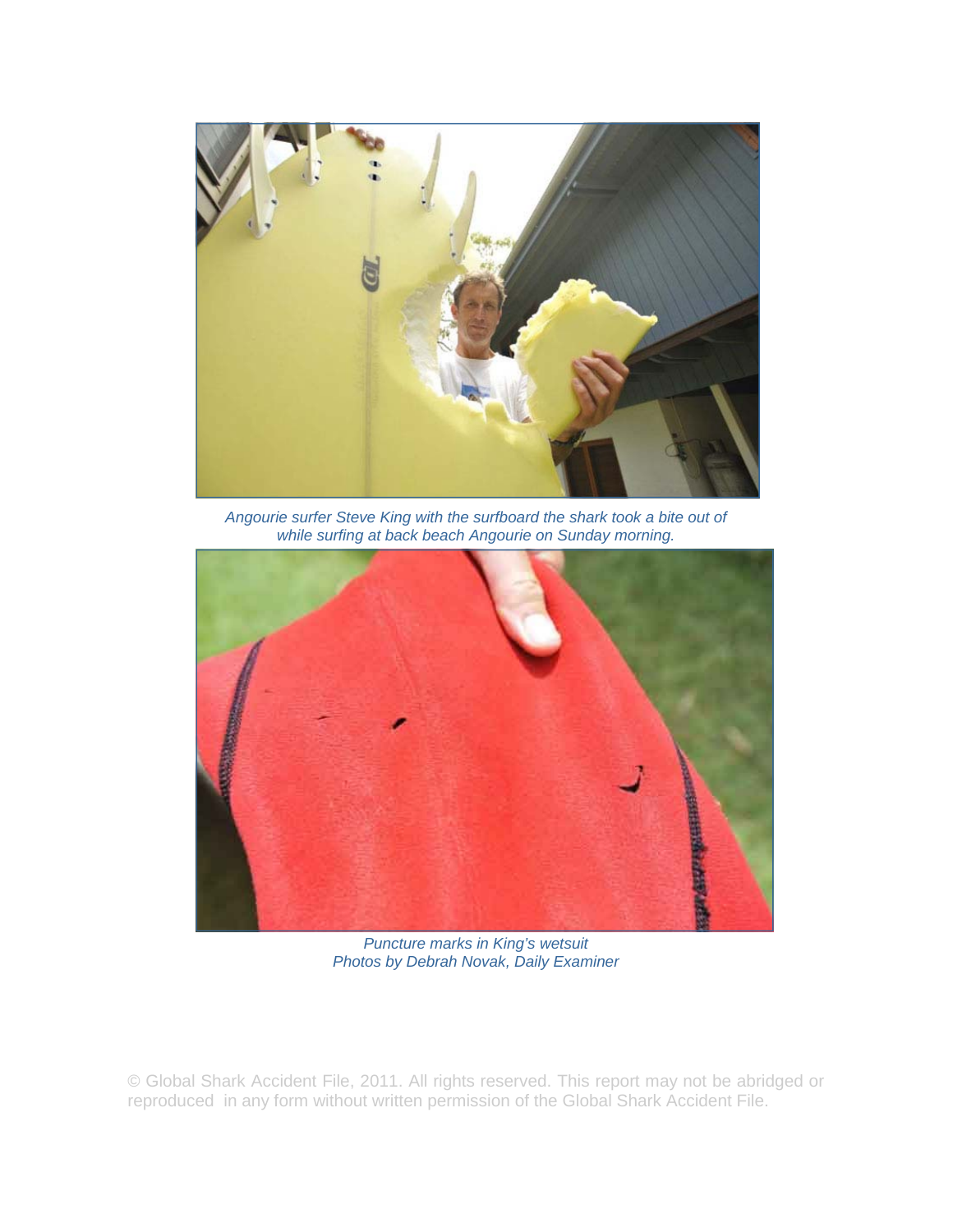

*Angourie surfer Steve King with the surfboard the shark took a bite out of while surfing at back beach Angourie on Sunday morning.* 



*Puncture marks in King's wetsuit Photos by Debrah Novak, Daily Examiner* 

© Global Shark Accident File, 2011. All rights reserved. This report may not be abridged or reproduced in any form without written permission of the Global Shark Accident File.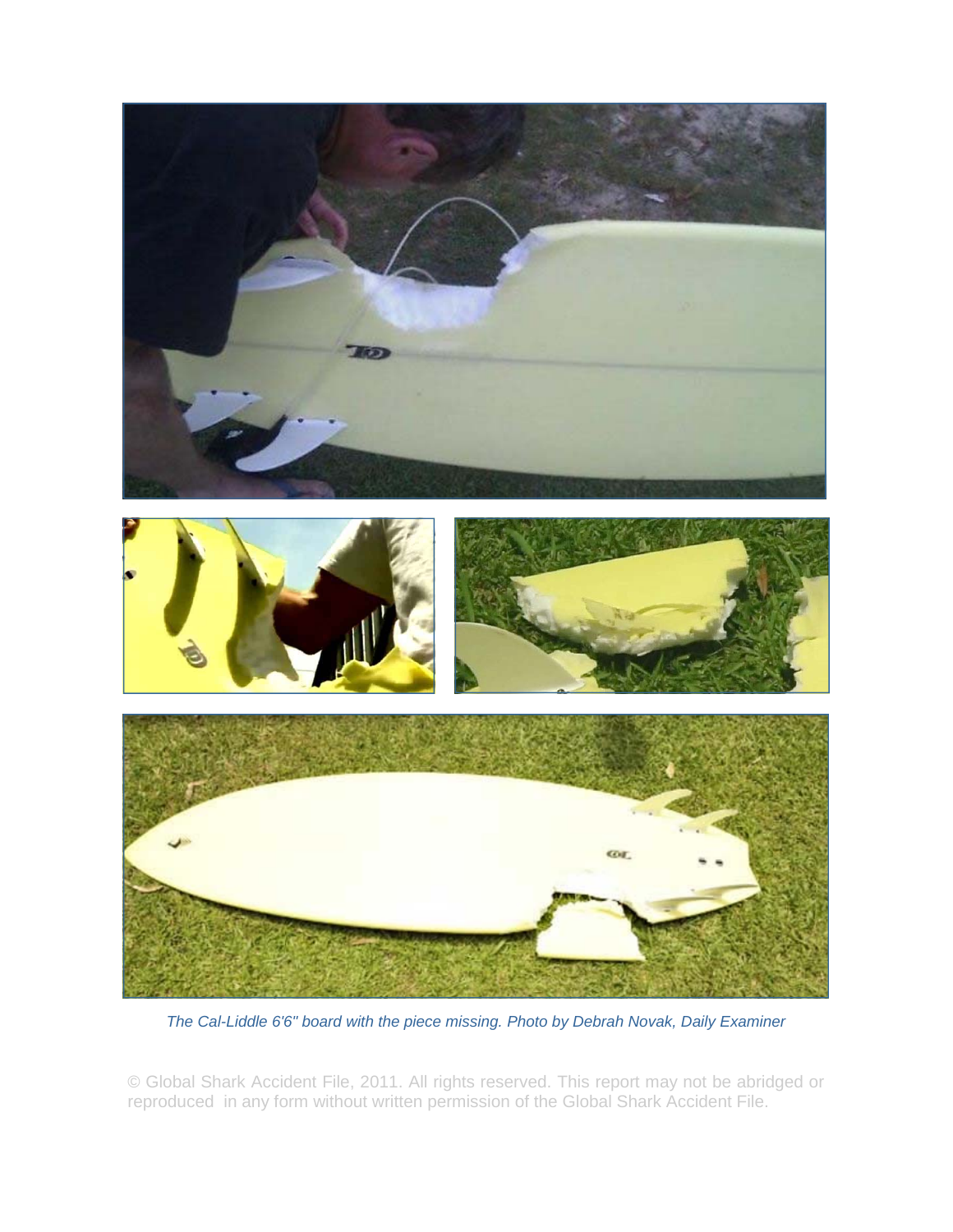

*The Cal-Liddle 6'6" board with the piece missing. Photo by Debrah Novak, Daily Examiner* 

© Global Shark Accident File, 2011. All rights reserved. This report may not be abridged or reproduced in any form without written permission of the Global Shark Accident File.